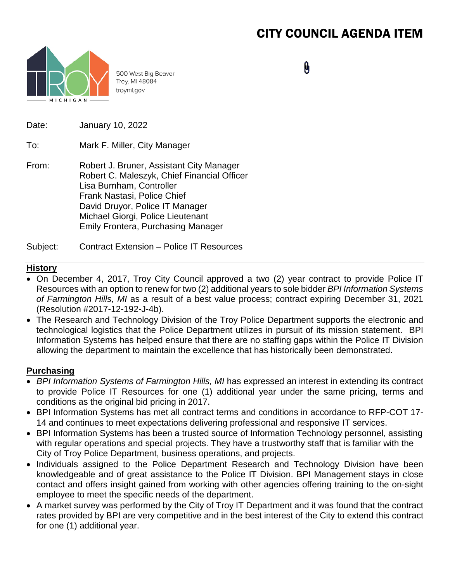# CITY COUNCIL AGENDA ITEM



500 West Big Beaver Troy, MI 48084 troymi.gov

0

Date: January 10, 2022

To: Mark F. Miller, City Manager

From: Robert J. Bruner, Assistant City Manager Robert C. Maleszyk, Chief Financial Officer Lisa Burnham, Controller Frank Nastasi, Police Chief David Druyor, Police IT Manager Michael Giorgi, Police Lieutenant Emily Frontera, Purchasing Manager

Subject: Contract Extension – Police IT Resources

## **History**

- On December 4, 2017, Troy City Council approved a two (2) year contract to provide Police IT Resources with an option to renew for two (2) additional years to sole bidder *BPI Information Systems of Farmington Hills, MI* as a result of a best value process; contract expiring December 31, 2021 (Resolution #2017-12-192-J-4b).
- The Research and Technology Division of the Troy Police Department supports the electronic and technological logistics that the Police Department utilizes in pursuit of its mission statement. BPI Information Systems has helped ensure that there are no staffing gaps within the Police IT Division allowing the department to maintain the excellence that has historically been demonstrated.

### **Purchasing**

- *BPI Information Systems of Farmington Hills, MI* has expressed an interest in extending its contract to provide Police IT Resources for one (1) additional year under the same pricing, terms and conditions as the original bid pricing in 2017.
- BPI Information Systems has met all contract terms and conditions in accordance to RFP-COT 17- 14 and continues to meet expectations delivering professional and responsive IT services.
- BPI Information Systems has been a trusted source of Information Technology personnel, assisting with regular operations and special projects. They have a trustworthy staff that is familiar with the City of Troy Police Department, business operations, and projects.
- Individuals assigned to the Police Department Research and Technology Division have been knowledgeable and of great assistance to the Police IT Division. BPI Management stays in close contact and offers insight gained from working with other agencies offering training to the on-sight employee to meet the specific needs of the department.
- A market survey was performed by the City of Troy IT Department and it was found that the contract rates provided by BPI are very competitive and in the best interest of the City to extend this contract for one (1) additional year.